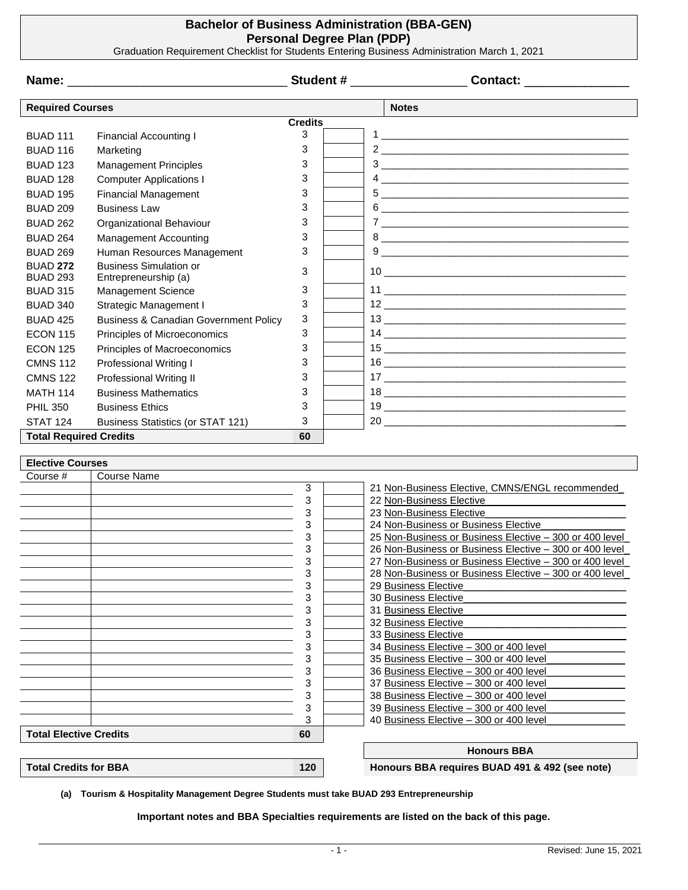## **Bachelor of Business Administration (BBA-GEN) Personal Degree Plan (PDP)**

Graduation Requirement Checklist for Students Entering Business Administration March 1, 2021

|                                     |                                                  |                | Student # ___________________<br>Contact: ________________                         |
|-------------------------------------|--------------------------------------------------|----------------|------------------------------------------------------------------------------------|
| <b>Required Courses</b>             |                                                  |                | <b>Notes</b>                                                                       |
|                                     |                                                  | <b>Credits</b> |                                                                                    |
| <b>BUAD 111</b>                     | <b>Financial Accounting I</b>                    | 3              |                                                                                    |
| <b>BUAD 116</b>                     | Marketing                                        | 3              |                                                                                    |
| <b>BUAD 123</b>                     | <b>Management Principles</b>                     | 3              |                                                                                    |
| <b>BUAD 128</b>                     | <b>Computer Applications I</b>                   | 3              |                                                                                    |
| <b>BUAD 195</b>                     | <b>Financial Management</b>                      | 3              |                                                                                    |
| <b>BUAD 209</b>                     | <b>Business Law</b>                              | 3              |                                                                                    |
| <b>BUAD 262</b>                     | Organizational Behaviour                         | 3              |                                                                                    |
| <b>BUAD 264</b>                     | Management Accounting                            | 3              |                                                                                    |
| <b>BUAD 269</b>                     | Human Resources Management                       | 3              |                                                                                    |
| <b>BUAD 272</b>                     | <b>Business Simulation or</b>                    |                |                                                                                    |
| <b>BUAD 293</b>                     | Entrepreneurship (a)                             | 3              |                                                                                    |
| <b>BUAD 315</b>                     | Management Science                               | 3              |                                                                                    |
| <b>BUAD 340</b>                     | Strategic Management I                           | 3              |                                                                                    |
| <b>BUAD 425</b>                     | <b>Business &amp; Canadian Government Policy</b> | 3              |                                                                                    |
| <b>ECON 115</b>                     | Principles of Microeconomics                     | 3              |                                                                                    |
| <b>ECON 125</b>                     | Principles of Macroeconomics                     | 3              |                                                                                    |
| <b>CMNS 112</b>                     | Professional Writing I                           | 3              |                                                                                    |
| <b>CMNS 122</b>                     | <b>Professional Writing II</b>                   | 3              |                                                                                    |
| <b>MATH 114</b>                     | <b>Business Mathematics</b>                      | 3              |                                                                                    |
| <b>PHIL 350</b>                     | <b>Business Ethics</b>                           | 3              |                                                                                    |
| <b>STAT 124</b>                     | <b>Business Statistics (or STAT 121)</b>         | 3              | 20                                                                                 |
| <b>Total Required Credits</b>       |                                                  | 60             |                                                                                    |
|                                     |                                                  |                |                                                                                    |
| <b>Elective Courses</b>             |                                                  |                |                                                                                    |
| Course #                            | <b>Course Name</b>                               | 3              | 21 Non-Business Elective, CMNS/ENGL recommended_                                   |
|                                     |                                                  | 3              | 22 Non-Business Elective                                                           |
|                                     |                                                  | 3              | 23 Non-Business Elective                                                           |
|                                     |                                                  | 3              | 24 Non-Business or Business Elective                                               |
|                                     |                                                  | 3              | 25 Non-Business or Business Elective - 300 or 400 level                            |
|                                     |                                                  | 3              | 26 Non-Business or Business Elective - 300 or 400 level                            |
|                                     |                                                  | 3              | 27 Non-Business or Business Elective - 300 or 400 level                            |
|                                     |                                                  | 3<br>3         | 28 Non-Business or Business Elective - 300 or 400 level<br>29 Business Elective    |
|                                     |                                                  | 3              | 30 Business Elective                                                               |
|                                     |                                                  | 3              | 31 Business Elective                                                               |
|                                     |                                                  | 3              | 32 Business Elective                                                               |
|                                     |                                                  | 3              | 33 Business Elective                                                               |
|                                     |                                                  | 3              | 34 Business Elective - 300 or 400 level                                            |
|                                     |                                                  | 3<br>3         | 35 Business Elective - 300 or 400 level<br>36 Business Elective - 300 or 400 level |
|                                     |                                                  | 3              | 37 Business Elective - 300 or 400 level                                            |
|                                     |                                                  | 3              | 38 Business Elective - 300 or 400 level                                            |
|                                     |                                                  | 3              | 39 Business Elective - 300 or 400 level                                            |
|                                     |                                                  | 3              | 40 Business Elective - 300 or 400 level                                            |
| <b>Total Elective Credits</b><br>60 |                                                  |                |                                                                                    |
|                                     |                                                  |                | <b>Honours BBA</b>                                                                 |
| <b>Total Credits for BBA</b>        |                                                  | 120            | Honours BBA requires BUAD 491 & 492 (see note)                                     |

**(a) Tourism & Hospitality Management Degree Students must take BUAD 293 Entrepreneurship**

**Important notes and BBA Specialties requirements are listed on the back of this page.**